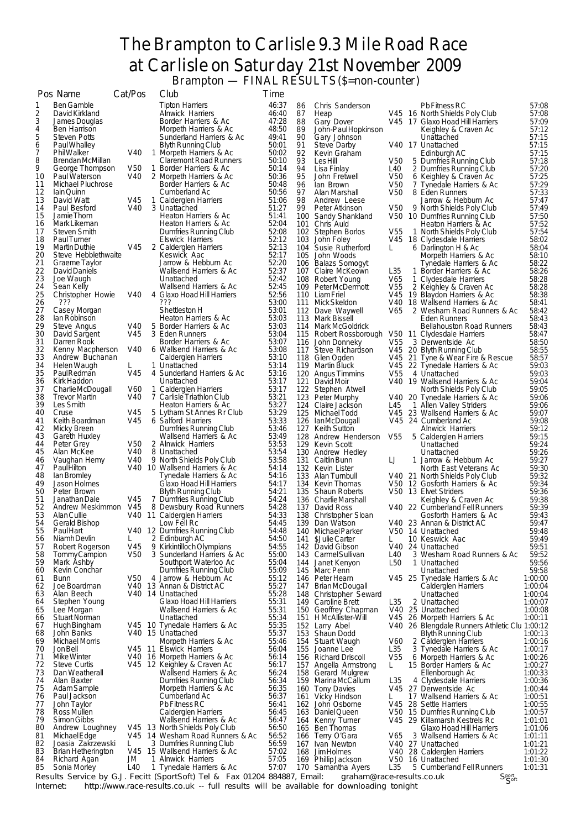## The Brampton to Carlisle 9.3 Mile Road Race at Carlisle on Saturday 21st November 2009 Brampton — FINAL RESULTS (\$=non-counter)

|          | Pos Name                                    | Cat/Pos         | Club                                                                       | <b>Time</b>    |       |            |                                                   |                        |                                                                            |                    |
|----------|---------------------------------------------|-----------------|----------------------------------------------------------------------------|----------------|-------|------------|---------------------------------------------------|------------------------|----------------------------------------------------------------------------|--------------------|
| 1        | <b>Ben Gamble</b>                           |                 | <b>Tipton Harriers</b>                                                     | 46:37          |       | 86         | Chris Sanderson                                   |                        | Pb Fitness RC                                                              | 57:08              |
| 2        | David Kirkland                              |                 | <b>Alnwick Harriers</b>                                                    |                | 46:40 | 87         | Heap                                              |                        | V45 16 North Shields Poly Club                                             | 57:08              |
| 3<br>4   | James Douglas<br>Ben Harrison               |                 | Border Harriers & Ac<br>Morpeth Harriers & Ac                              | 47:28<br>48:50 |       | 88<br>89   | Gary Dover<br>John-Paul Hopkinson                 |                        | V45 17 Glaxo Hoad Hill Harriers<br>Keighley & Craven Ac                    | 57:09<br>57:12     |
| 5        | <b>Steven Potts</b>                         |                 | Sunderland Harriers & Ac                                                   | 49:41          |       | 90         | Gary Johnson                                      |                        | Unattached                                                                 | 57:15              |
| 6        | Paul Whalley                                |                 | Blyth Running Club                                                         | 50:01          |       | 91         | Steve Darby                                       |                        | V40 17 Unattached                                                          | 57:15              |
| 7<br>8   | <b>PhilWalker</b><br><b>BrendanMcMillan</b> | V40             | 1 Morpeth Harriers & Ac<br><b>Claremont Road Runners</b>                   | 50:02<br>50:10 |       | 92<br>93   | Kevin Graham<br><b>LesHill</b>                    | V50                    | Edinburgh AC<br>5 Dumfries Running Club                                    | 57:15<br>57:18     |
| 9        | George Thompson                             | V50             | 1 Border Harriers & Ac                                                     | 50:14          |       | 94         | Lisa Finlay                                       | L40                    | 2 Dumfries Running Club                                                    | 57:20              |
| 10       | Paul Waterson                               | V40             | 2 Morpeth Harriers & Ac                                                    | 50:36          |       | 95         | John Fretwell                                     | V <sub>50</sub>        | 6 Keighley & Craven Ac                                                     | 57:25              |
| 11<br>12 | Michael Pluchrose                           |                 | Border Harriers & Ac                                                       | 50:48<br>50:56 |       | 96         | lan Brown                                         | V50                    | 7 Tynedale Harriers & Ac<br>8 Eden Runners                                 | 57:29              |
| 13       | lain Quinn<br>David Watt                    | V45             | Cumberland Ac<br>1 Calderglen Harriers                                     | 51:06          |       | 97<br>98   | Alan Marshall<br>Andrew Leese                     | V50                    | Jarrow & Hebburn Ac                                                        | 57:33<br>57:47     |
| 14       | Paul Besford                                | V40             | 3 Unattached                                                               | 51:27          |       | 99         | Peter Atkinson                                    | V50                    | 9 North Shields Poly Club                                                  | 57:49              |
| 15       | Jamie Thom                                  |                 | Heaton Harriers & Ac                                                       | 51:41          |       |            | 100 Sandy Shankland                               |                        | V50 10 Dumfries Running Club                                               | 57:50              |
| 16<br>17 | Mark Likeman<br>Steven Smith                |                 | Heaton Harriers & Ac<br>Dumfries Running Club                              | 52:04<br>52:08 |       |            | 101 Chris Auld<br>102 Stephen Borlos              | V <sub>55</sub>        | Heaton Harriers & Ac<br>1 North Shields Poly Club                          | 57:52<br>57:54     |
| 18       | Paul Turner                                 |                 | <b>Elswick Harriers</b>                                                    | 52:12          |       |            | 103 John Foley                                    |                        | V45 18 Clydesdale Harriers                                                 | 58:02              |
| 19       | <b>Martin Duthie</b>                        | V45             | 2 Calderglen Harriers                                                      | 52:13          |       |            | 104 Susie Rutherford                              | L                      | 6 Darlington H & Ac                                                        | 58:04              |
| 20<br>21 | Steve Hebblethwaite<br>Graeme Taylor        |                 | Keswick Aac<br>Jarrow & Hebburn Ac                                         | 52:17<br>52:20 |       |            | 105 John Woods<br>106 Balazs Somogyt              |                        | Morpeth Harriers & Ac<br>Tynedale Harriers & Ac                            | 58:10<br>58:22     |
| 22       | David Daniels                               |                 | Wallsend Harriers & Ac                                                     | 52:37          |       |            | 107 Claire McKeown                                | L35                    | 1 Border Harriers & Ac                                                     | 58:26              |
| 23       | Joe Waugh                                   |                 | Unattached                                                                 | 52:42          |       |            | 108 Robert Young                                  | V65                    | 1 Clydesdale Harriers                                                      | 58:28              |
| 24<br>25 | Sean Kelly<br>Christopher Howie             | V40             | Wallsend Harriers & Ac<br>4 Glaxo Hoad Hill Harriers                       | 52:45<br>52:56 |       |            | 109 Peter McDermott<br>110 Liam Friel             | V <sub>55</sub>        | 2 Keighley & Craven Ac<br>V45 19 Blaydon Harriers & Ac                     | 58:28<br>58:38     |
| 26       | ???                                         |                 | ???                                                                        | 53:00          |       |            | 111 Mick Skeldon                                  |                        | V40 18 Wallsend Harriers & Ac                                              | 58:41              |
| 27       | Casey Morgan                                |                 | Shettleston H                                                              | 53:01          |       |            | 112 Dave Waywell                                  | V65                    | 2 Wesham Road Runners & Ac                                                 | 58:42              |
| 28<br>29 | lan Robinson<br>Steve Angus                 | V40             | Heaton Harriers & Ac<br>5 Border Harriers & Ac                             | 53:03<br>53:03 |       |            | 113 Mark Bissell<br>114 Mark McGoldrick           |                        | <b>Eden Runners</b><br><b>Bellahouston Road Runners</b>                    | 58:43<br>58:43     |
| 30       | David Sargent                               | V45             | 3 Eden Runners                                                             | 53:04          |       |            | 115 Robert Rossborough V50 11 Clydesdale Harriers |                        |                                                                            | 58:47              |
| 31       | Darren Rook                                 |                 | Border Harriers & Ac                                                       | 53:07          |       |            | 116 John Donneky                                  | V <sub>55</sub>        | 3 Derwentside Ac                                                           | 58:50              |
| 32<br>33 | Kenny Macpherson<br>Andrew Buchanan         | V40             | 6 Wallsend Harriers & Ac                                                   | 53:08<br>53:10 |       |            | 117 Steve Richardson                              |                        | V45 20 Blyth Running Club                                                  | 58:55              |
| 34       | Helen Waugh                                 | L.              | Calderglen Harriers<br>1 Unattached                                        | 53:14          |       |            | 118 Glen Ogden<br>119 Martin Bluck                |                        | V45 21 Tyne & Wear Fire & Rescue<br>V45 22 Tynedale Harriers & Ac          | 58:57<br>59:03     |
| 35       | Paul Redman                                 | V45             | 4 Sunderland Harriers & Ac                                                 | 53:16          |       |            | 120 Angus Timmins                                 | V <sub>55</sub>        | 4 Unattached                                                               | 59:03              |
| 36       | Kirk Haddon                                 |                 | Unattached                                                                 | 53:17          |       | 121        | David Moir                                        |                        | V40 19 Wallsend Harriers & Ac                                              | 59:04              |
| 37<br>38 | Charlie McDougall<br><b>Trevor Martin</b>   | V60<br>V40      | 1 Calderglen Harriers<br>7 Carlisle Triathlon Club                         | 53:17<br>53:21 |       |            | 122 Stephen Atwell<br>123 Peter Murphy            |                        | North Shields Poly Club<br>V40 20 Tynedale Harriers & Ac                   | 59:05<br>59:06     |
| 39       | Les Smith                                   |                 | Heaton Harriers & Ac                                                       | 53:27          |       |            | 124 Claire Jackson                                | L45                    | 1 Allen Valley Striders                                                    | 59:06              |
| 40       | Cruse                                       | V45             | 5 Lytham St Annes Rr Club                                                  | 53:29          |       |            | 125 Michael Todd                                  |                        | V45 23 Wallsend Harriers & Ac                                              | 59:07              |
| 41<br>42 | Keith Boardman<br>Micky Breen               | V45             | 6 Salford Harriers<br>Dumfries Running Club                                | 53:33<br>53:46 |       |            | 126 IanMcDougall<br>127 Keith Sutton              |                        | V45 24 Cumberland Ac<br><b>Alnwick Harriers</b>                            | 59:08<br>59:12     |
| 43       | Gareth Huxley                               |                 | Wallsend Harriers & Ac                                                     | 53:49          |       |            | 128 Andrew Henderson V55                          |                        | 5 Calderglen Harriers                                                      | 59:15              |
| 44       | Peter Grey                                  | V50             | 2 Alnwick Harriers                                                         | 53:53          |       |            | 129 Kevin Scott                                   |                        | Unattached                                                                 | 59:24              |
| 45<br>46 | Alan McKee                                  | V40<br>V40      | 8 Unattached<br>9 North Shields Poly Club                                  | 53:54<br>53:58 |       |            | 130 Andrew Hedley                                 |                        | Unattached                                                                 | 59:26              |
| 47       | Vaughan Hemy<br>PaulHilton                  |                 | V40 10 Wallsend Harriers & Ac                                              | 54:14          |       |            | 131 Caitlin Bunn<br>132 Kevin Lister              | IJ                     | 1 Jarrow & Hebburn Ac<br>North East Veterans Ac                            | 59:27<br>59:30     |
| 48       | lan Bromley                                 |                 | Tynedale Harriers & Ac                                                     | 54:16          |       |            | 133 Alan Turnbull                                 |                        | V40 21 North Shields Poly Club                                             | 59:32              |
| 49<br>50 | Jason Holmes                                |                 | Glaxo Hoad Hill Harriers<br><b>Blyth Running Club</b>                      | 54:17<br>54:21 |       |            | 134 Kevin Thomas                                  |                        | V50 12 Gosforth Harriers & Ac                                              | 59:34              |
| 51       | Peter Brown<br>Janathan Dale                | V45             | 7 Dumfries Running Club                                                    | 54:24          |       |            | 135 Shaun Roberts<br>136 Charlie Marshall         |                        | V50 13 Elvet Striders<br>Keighley & Craven Ac                              | 59:36<br>59:38     |
| 52       | Andrew Meskimmon                            | V45             | 8 Dewsbury Road Runners                                                    | 54:28          |       |            | 137 David Ross                                    |                        | V40 22 Cumberland Fell Runners                                             | 59:39              |
| 53       | <b>AlanCullie</b>                           |                 | V40 11 Calderglen Harriers                                                 | 54:33          |       |            | 138 Christopher Sloan                             |                        | Gosforth Harriers & Ac                                                     | 59:43              |
| 54<br>55 | Gerald Bishop<br><b>Paul Hart</b>           |                 | Low Fell Rc<br>V40 12 Dumfries Running Club                                | 54:45          | 54:48 |            | 139 Dan Watson<br>140 Michael Parker              |                        | V40 23 Annan & District AC<br>V50 14 Unattached                            | 59:47<br>59:48     |
| 56       | Niamh Devlin                                |                 | 2 Edinburgh AC                                                             | 54:50          |       | 141        | \$Julie Carter                                    |                        | 10 Keswick Aac                                                             | 59:49              |
| 57       | Robert Rogerson                             | V45             | 9 Kirkintilloch Olympians                                                  | 54:55          |       |            | 142 David Gibson                                  |                        | V40 24 Unattached                                                          | 59:51              |
| 58<br>59 | Tommy Campion<br>Mark Ashby                 | V <sub>50</sub> | 3 Sunderland Harriers & Ac<br>Southport Waterloo Ac                        | 55:00<br>55:04 |       | 143<br>144 | Carmel Sullivan<br>Janet Kenyon                   | L40<br>L50             | 3 Wesham Road Runners & Ac<br>1 Unattached                                 | 59:52<br>59:56     |
| 60       | Kevin Conchar                               |                 | Dumfries Running Club                                                      | 55:09          |       |            | 145 Marc Penn                                     |                        | Unattached                                                                 | 59:58              |
| 61       | <b>Bunn</b>                                 | V50             | 4 Jarrow & Hebburn Ac                                                      | 55:12          |       |            | 146 Peter Hearn                                   |                        | V45 25 Tynedale Harriers & Ac                                              | 1:00:00            |
| 62<br>63 | Joe Boardman<br>Alan Beech                  |                 | V40 13 Annan & District AC<br>V40 14 Unattached                            | 55:27<br>55:28 |       | 147        | Brian McDougall<br>148 Christopher Seward         |                        | Calderglen Harriers<br>Unattached                                          | 1:00:04<br>1:00:04 |
| 64       | Stephen Young                               |                 | Glaxo Hoad Hill Harriers                                                   | 55:31          |       |            | 149 Caroline Brett                                | L <sub>35</sub>        | 2 Unattached                                                               | 1:00:07            |
| 65       | Lee Morgan                                  |                 | Wallsend Harriers & Ac                                                     | 55:31          |       |            | 150 Geoffrey Chapman                              | V40                    | 25 Unattached                                                              | 1:00:08            |
| 66<br>67 | <b>Stuart Norman</b><br>Hugh Bingham        |                 | Unattached<br>V45 10 Tynedale Harriers & Ac                                | 55:34<br>55:35 |       | 151        | H McAllister-Will                                 |                        | V45 26 Morpeth Harriers & Ac                                               | 1:00:11            |
| 68       | John Banks                                  |                 | V40 15 Unattached                                                          | 55:37          |       | 153        | 152 Larry Abel<br>Shaun Dodd                      |                        | V40 26 Blengdale Runners Athletic Clu 1:00:12<br><b>Blyth Running Club</b> | 1:00:13            |
| 69       | Michael Morris                              |                 | Morpeth Harriers & Ac                                                      | 55:46          |       | 154        | Stuart Waugh                                      | V60                    | 2 Calderglen Harriers                                                      | 1:00:16            |
| 70<br>71 | Jon Bell<br>Mike Winter                     |                 | V45 11 Elswick Harriers                                                    | 56:04<br>56:14 |       | 155        | Joanne Lee                                        | L35<br>V <sub>55</sub> | 3 Tynedale Harriers & Ac                                                   | 1:00:17            |
| 72       | Steve Curtis                                |                 | V40 16 Morpeth Harriers & Ac<br>V45 12 Keighley & Craven Ac                | 56:17          |       | 157        | 156 Richard Driscoll<br>Angella Armstrong         | L.                     | 6 Morpeth Harriers & Ac<br>15 Border Harriers & Ac                         | 1:00:26<br>1:00:27 |
| 73       | Dan Weatherall                              |                 | Wallsend Harriers & Ac                                                     | 56:24          |       |            | 158 Gerard Mulgrew                                |                        | Ellenborough Ac                                                            | 1:00:33            |
| 74       | Alan Baxter                                 |                 | Dumfries Running Club                                                      | 56:34          |       |            | 159 Marina McCallum                               | L <sub>35</sub>        | 4 Clydesdale Harriers                                                      | 1:00:36            |
| 75<br>76 | Adam Sample<br>Paul Jackson                 |                 | Morpeth Harriers & Ac<br>Cumberland Ac                                     | 56:35<br>56:37 |       |            | 160 Tony Davies<br>161 Vicky Hindson              | L                      | V45 27 Derwentside Ac<br>17 Wallsend Harriers & Ac                         | 1:00:44<br>1:00:51 |
| 77       | John Taylor                                 |                 | Pb Fitness RC                                                              | 56:41          |       |            | 162 John Osborne                                  | V45                    | 28 Settle Harriers                                                         | 1:00:55            |
| 78       | Ross Mullen                                 |                 | Calderglen Harriers                                                        | 56:45          |       | 163        | Daniel Queen                                      |                        | V50 15 Dumfries Running Club                                               | 1:00:57            |
| 79<br>80 | Simon Gibbs                                 |                 | Wallsend Harriers & Ac<br>V45 13 North Shields Poly Club                   | 56:47<br>56:50 |       |            | 164 Kenny Turner                                  |                        | V45 29 Killamarsh Kestrels Rc                                              | 1:01:01<br>1:01:06 |
| 81       | Andrew Loughney<br>Michael Edge             |                 | V45 14 Wesham Road Runners & Ac                                            | 56:52          |       |            | 165 Ben Thomas<br>166 Terry O'Gara                | V65                    | Glaxo Hoad Hill Harriers<br>3 Wallsend Harriers & Ac                       | 1:01:11            |
| 82       | Joasia Zakrzewski                           | L.              | 3 Dumfries Running Club                                                    | 56:59          |       | 167        | Ivan Newton                                       |                        | V40 27 Unattached                                                          | 1:01:21            |
| 83       | <b>Brian Hetherington</b>                   |                 | V45 15 Wallsend Harriers & Ac                                              |                | 57:02 | 168        | <b>JimHolmes</b>                                  |                        | V40 28 Calderglen Harriers                                                 | 1:01:22            |
| 84<br>85 | Richard Agan<br>Sonia Morley                | JМ<br>L40       | 1 Alnwick Harriers<br>1 Tynedale Harriers & Ac                             | 57:05<br>57:07 |       |            | 169 Phillip Jackson<br>170 Samantha Ayers         | L <sub>35</sub>        | V50 16 Unattached<br>5 Cumberland Fell Runners                             | 1:01:30<br>1:01:31 |
|          |                                             |                 | Results Service by G. L. Fecitt (SportSoft) Tel & Eax 01204 884887. Email: |                |       |            | graham@race-results.co.uk                         |                        | Sport,                                                                     |                    |

Results Service by G.J. Fecitt (SportSoft) Tel & Fax 01204 884887, Email: oraham@race-results.co.uk Sect Sect<br>Internet: http://www.race-results.co.uk -- full results will be available for downloading tonight

Soft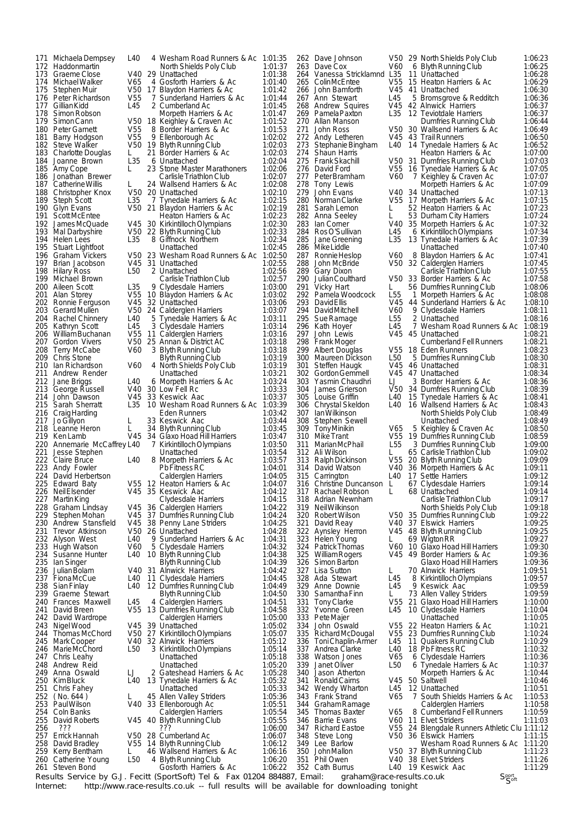171 MichaelaDempsey L40 4 Wesham Road Runners & Ac 1:01:35 178 Simon Robson Morpeth Harriers & Ac 187 Catherine Willis L 24 Wallsend Harriers & Ac<br>188 Christopher Knox V50 20 Unattached Brian Jacobson 212 Jane Briggs L40 6 Morpeth Harriers & Ac 219 Ken Lamb V45 34 Glaxo Hoad Hill Harriers 226 NeilElsender V45 35 Keswick Aac 1:04:12 261 Steven Bond Cosforth Harriers & Ac 1:06:22

172 Haddonmartin North Shields Poly Club 1:01:37 173 Graeme Close V40 29 Unattached 1:01:38 174 Michael Walker V65 4 Gosforth Harriers & Ac 1:01:40<br>175 Stephen Muir V50 17 Blaydon Harriers & Ac 1:01:42<br>176 Peter Richardson V55 7 Sunderland Harriers & Ac 1:01:44 175 Stephen Muir V50 17 Blaydon Harriers & Ac 1:01:42 176 Peter Richardson V55 7 Sunderland Harriers & Ac 1:01:44 177 Gillian Kidd L45 2 Cumberland Ac 1.01.145<br>178 Simon Robson Morpeth Harriers & Ac 1:01:45 179 SimonCann V50 18 Keighley & Craven Ac 1:01:52 180 Peter Garnett V55 8 Border Harriers & Ac 1:01:53 181 Barry Hodgson V55 9 Ellenborough Ac 1:02:02 182 Steve Walker V50 19 Blyth Running Club 1:02:03 183 Charlotte Douglas L 21 Border Harriers & Ac 1:02:03 184 Joanne Brown Later Communication Communication (1:02:04<br>185 Amy Cope L 23 Stone Master Marathoners 1:02:06 185 Amy Cope L 23 Stone Master Marathoners 1:02:06<br>186 Jonathan Brewer Carlisle Triathlon Club 1:02:07 186 Jonathan Brewer Carlisle Triathlon Club 1:02:07<br>187 Catherine Willis L 24 Wallsend Harriers & Ac 1:02:08 188 Christopher Knox V50 20 Unattached 1:02:10 189 Steph Scott L35 7 Tynedale Harriers & Ac 1:02:15<br>190 Glyn Evans V50 21 Blaydon Harriers & Ac 1:02:19 190 Glyn Evans V50 21 Blaydon Harriers & Ac 1:02:19 191 ScottMcEntee Heaton Harriers & Ac 1:02:23 192 James McQuade V45 30 Kirkintilloch Olympians 1:02:30<br>193 Mal Darbyshire V50 22 Blyth Running Club 1:02:30 193 Mal Darbyshire V50 22 BlythRunningClub 1:02:33 194 Helen Lees L35 8 Giffnock Northern 1:02:34 194 Helen Lees L35 8 Giffnock Northern 1:02:34<br>195 Stuart Lightfoot Unattached 1:02:45<br>196 Graham Vickers V50 23 Wesham Road Runners & Ac 1:02:50 196 Graham Vickers V50 23 Wesham Road Runners & Ac 1:02:50 198 Hilary Ross L50 2 Unattached 1:02:56 199 Michael Brown Carlisle Triathlon Club 1:02:57<br>200 Aileen Scott 1:03:50 Cludesdale Harriers 1:03:00 200 Aileen Scott L35 9 Clydesdale Harriers 1:03:00 201 Alan Storey V55 10 Blaydon Harriers & Ac 1:03:02 202 Ronnie Ferguson V45 32 Unattached 1:03:06 203 GerardMullen V50 24 Calderglen Harriers 1:03:07 204 Rachel Chinnery L40 5 Tynedale Harriers & Ac 1:03:11 205 Kathryn Scott L45 3 Clydesdale Harriers 1:03:14 206 WilliamBuchanan V55 11 Calderglen Harriers 1:03:16 207 Gordon Vivers V50 25 Annan & District AC 1:03:18<br>208 Terry McCabe V60 3 Blyth Running Club 1:03:18<br>209 Chris Stone Blyth Running Club 1:03:19 208 Terry McCabe V60 3 Blyth Running Club 1:03:18 209 Chris Stone Blyth Running Club 1:03:19 210 Ian Richardson V60 4 North Shields Poly Club 1:03:19 21:03:21 Andrew Render **1:03:21**<br>22:30 Jane Briggs **LAD 6** Morpeth Harriers & Ac 213 George Russell V40 30 Low Fell Rc 1:03:33 214 John Dawson V45 33 Keswick Aac 1:03:37 215 Sarah Sherratt L35 10 Wesham Road Runners & Ac 1:03:39 216 CraigHarding Eden Runners 1:03:42 217 Jo Gillyon  $\overline{L}$  218 Leanne Heron L 33 Keswick Aac 218 Leanne Heron L 34 Blyth Running Club 21.03.1 Leanne Heron Line Heron Line 1:03:45<br>1:03:45 V45 34 Glaxo Hoad Hill Harriers 1:03:47 220 Annemarie McCaffrey L40 7 Kirkintilloch Olympians 1:03:50 221 Jesse Stephen <sup>2</sup> Unattached 1:03:54<br>222 Claire Bruce 1:40 8 Morpeth Harriers & Ac 1:03:57 222 Claire Bruce L40 8 Morpeth Harriers & Ac 1:03:57 223 Andy Fowler PbFitnessRC 1:04:01 224 David Herbertson Calderglen Harriers 1:04:05 225 Edward Baty V55 12 Heaton Harriers & Ac 1:04:07 227 Martin King Clydesdale Harriers 1:04:15 228 Graham Lindsay V45 36 Calderglen Harriers 1:04:22 229 StephenMohan V45 37 Dumfries Running Club 1:04:24 230 Andrew Stansfield V45 38 Penny Lane Striders 1:04:25 229 Stephen Mohan V45 37 Dumfries Running Club 1:04:24<br>230 Andrew Stansfield V45 38 Penny Lane Striders 1:04:25<br>231 Trevor Atkinson V50 26 Unattached 1:04:28<br>232 Alyson West L40 9 Sunderland Harriers & Ac 1:04:31 232 Alyson West L40 9 Sunderland Harriers & Ac 1:04:31 233 Hugh Watson V60 5 Clydesdale Harriers 1:04:32 234 Susanne Hunter L40 10 Blyth Running Club 1:04:38 235 Ian Singer Blyth Running Club 1:04:39 236 JulianBolam V40 31 Alnwick Harriers 1:04:42 237 FionaMcCue L40 11 Clydesdale Harriers 1:04:45 237 Siona McCue 11 - 11 Clydesdale Harriers 1:04:45<br>238 Sian Finlay 12 Dumfries Running Club 1:04:49 238 Graeme Stewart L40 12 Dumfries Running Club 1:04:49<br>239 Graeme Stewart L40 12 Dumfries Running Club 1:04:50 240 Frances Maxwell L45 4 Calderglen Harriers 1:04:51 241 David Breen V55 13 Dumfries Running Club 1:04:58 242 David Wardrope Calderglen Harriers 1:05:00 243 NigelWood V45 39 Unattached 1:05:02 244 ThomasMcChord V50 27 KirkintillochOlympians 1:05:07 245 Mark Cooper V40 32 Alnwick Harriers 1:05:12 246 MarieMcChord L50 3 KirkintillochOlympians 1:05:14 247 Chris Leahy **Unattached** 1:05:18 248 Andrew Reid Unattached 1:05:20 249 Anna Oswald LJ 2 Gateshead Harriers & Ac 1:05:28 250 KimBluck L40 13 Tynedale Harriers & Ac 1:05:32 251 Chris Fahey Unattached 1:05:33 252 ( No. 644 ) L 45 Allen Valley Striders 1:05:36<br>253 Paul Wilson V40 33 Ellenborough Ac 1:05:51 33 Ellenborough Ac 254 Coln Banks Calderglen Harriers 1:05:54 255 David Roberts V45 40 BlythRunningClub 1:05:55 256 ??? ??? 1:06:00 257 ErrickHannah V50 28 Cumberland Ac 1:06:07 258 David Bradley V55 14 BlythRunningClub 1:06:12 259 Kerry Bentham L 46 Wallsend Harriers & Ac 1:06:16 260 Catherine Young L50 4 Blyth Running Club 1:06:20

302 Gordon Gemmell V45 47<br>303 Yasmin Chaudhri LJ 3

262 Dave Johnson V50 29 North Shields Poly Club 1:06:23<br>263 Dave Cox V60 6 Blyth Running Club 1:06:25<br>264 Vanessa Stricklamnd L35 11 Unattached 1:06:28 263 Dave Cox V60 6 BlythRunningClub 1:06:25 264 Vanessa Stricklamnd L35 11 Unattached 264 Vanessa Stricklamnd L35 11 Unattached 1:06:28<br>
265 ColinMcEntee V55 15 Heaton Harriers & Ac 1:06:29<br>
266 John Bamforth V45 41 Unattached 1:06:30<br>
267 Ann Stewart L45 5 Bromsgrove & Redditch 1:06:36 266 John Bamforth V45 41 Unattached 1:06:30 267 Ann Stewart L45 5 Bromsgrove & Redditch 1:06:36 268 Andrew Squires V45 42 Alnwick Harriers 1:06:37 268 Andrew Squires 2015 12 Alnwick Harriers 1:06:37<br>269 PamelaPaxton 25 12 Teviotdale Harriers 1:06:37 270 Allan Manson Dumfries Running Club 1:06:44 271 John Ross V50 30 Wallsend Harriers & Ac 1:06:49 272 Andy Letheren V45 43 Trail Runners 1:06:50 273 StephanieBingham L40 14 Tynedale Harriers & Ac 1:06:52 274 Shaun Harris Heaton Harriers & Ac 1:07:00 275 FrankSkachill V50 31 Dumfries Running Club 1:07:03 276 David Ford V55 16 Tynedale Harriers & Ac 1:07:05 277 Peterbramham V60 7 Keighley & Craven Ac 278 Tony Lewis Morpeth Harriers & Ac 1:07:09 279 John Evans V40 34 Unattached 1:07:13 280 NormanClarke V55 17 Morpeth Harriers & Ac 1:07:15 281 Sarah Lemon L 52 Heaton Harriers & Ac 1:07:23 282 Anna Seeley L 53 Durham City Harriers 1:07:24<br>
283 Ian Corner V40 35 Morneth Harriers & Ac 1:07:32 283 Ian Corner V40 35 Morpeth Harriers & Ac 1:07:32 284 RosO'Sullivan L45 6 KirkintillochOlympians 1:07:34 285 Jane Greening L35 13 Tynedale Harriers & Ac 1:07:39 286 MikeLiddle Unattached 1:07:40 287 RonnieHeslop V60 8 Blaydon Harriers & Ac 1:07:41 288 John McBride V50 32 Calderglen Harriers 1:07:45 289 Gary Dixon CarlisleTriathlon Club 1:07:55 290 JulianCoulthard V50 33 Border Harriers & Ac 1:07:58 291 Vicky Hart L 56 Dumfries Running Club 1:08:06<br>292 Damela Woodcock L55 1 Morneth Harriers & Ac 1:08:08 292 PamelaWoodcock L55 1 Morpeth Harriers & Ac 1:08:08 293 DavidEllis V45 44 Sunderland Harriers & Ac 1:08:10 294 DavidMitchell V60 9 Clydesdale Harriers 1:08:11 295 SueRamage L55 2 Unattached 1:08:16 296 Kath Hoyer L45 7 Wesham Road Runners & Ac 1:08:19 297 John Lewis V45 45 Unattached 1:08:21 298 Frank Moger Cumberland Fell Runners 1:08:21 299 Albert Douglas V55 18 Eden Runners 1:08:23 1.00 5 Dumfries Running Club 1.08:30<br>1.08:30 V45 46 Unattached 1:08:31 301 Steffen Haugk V45 46 Unattached 1:08:31<br>302 Gordon Gemmell V45 47 Unattached 1:08:34 303 Yasmin Chaudhri LJ 3 Border Harriers & Ac 1:08:36 304 James Grierson V50 34 Dumfries Running Club 1:08:39 305 Louise Griffin L40 15 Tynedale Harriers & Ac 1:08:41 306 Chrystal Skeldon L40 16 Wallsend Harriers & Ac 1:08:43 306 Chrystal Skeldon L40 16 Wallsend Harriers & Ac 1:08:43<br>307 IanWilkinson L40 16 Wallsend Harriers & Ac 1:08:49 308 Stephen Sewell Unattached 1:08:49 309 TonyMinikin V65 5 Keighley & Craven Ac 1:08:50 310 MikeTrant V55 19 Dumfries Running Club 1:08:59 311 MarianMcPhail L55 3 Dumfries Running Club 1:09:00 312 Ali Wilson L 65 CarlisleTriathlon Club 1:09:02 313 RalphDickinson V55 20 BlythRunningClub 1:09:09 314 David Watson V40 36 Morpeth Harriers & Ac 1:09:11 315 Carrington L40 17 Settle Harriers 1:09:12 316 Christine Duncanson L 67 Clydesdale Harriers 1:09:14 317 Rachael Robson L 68 Unattached 1:09:14 318 Adrian Newnham CarlisleTriathlon Club 1:09:17 319 NeilWilkinson North Shields Poly Club 1:09:18 320 RobertWilson V50 35 Dumfries Running Club 1:09:22 Barning Ramme 322 Aynsley Herron V45 48 Blyth Running Club 1:09:25 323 Helen Young L 69 WigtonRR 1:09:27 324 PatrickThomas V60 10 Glaxo Hoad Hill Harriers 1:09:30 325 WilliamRogers V45 49 Border Harriers & Ac 1:09:36 326 Simon Barton Glaxo Hoad Hill Harriers 1:09:36 327 Lisa Sutton L 70 Alnwick Harriers 1:09:51 328 Ada Stewart L45 8 KirkintillochOlympians 1:09:57 329 Anne Downie L45 9 Keswick Aac 1:09:59 330 SamanthaFinn L 73 Allen Valley Striders 1:09:59 331 Tony Clarke V55 21 Glaxo Hoad Hill Harriers 1:10:00 332 Yvonne Green L45 10 Clydesdale Harriers 1:10:04 333 PeteMajer Unattached 1:10:05 334 John Oswald V55 22 Heaton Harriers & Ac 1:10:21 23 Dumfries Running Club 1:10:24 336 ToniChaplin-Armer L45 11 Quakers Running Club 1:10:29 337 Andrea Clarke L40 18 Pb Fitness RC 1:10:32 338 Watson Jones V65 6 Clydesdale Harriers 1:10:36 339 Janet Oliver L50 6 Tynedale Harriers & Ac 1:10:37 340 Jason Atherton Morpeth Harriers & Ac 1:10:44 341 RonaldCairns V45 50 Saltwell 1:10:46 342 Wendy Wharton L45 12 Unattached 1:10:51<br>343 Frank Strand V65 7 South Shields Harriers & Ac 1:10:53 South Shields Harriers & Ac 1:10:53<br>Calderglen Harriers 1:10:58 344 Graham Ramage Calderglen Harriers 345 Thomas Baxter V65 8 Cumberland Fell Runners 1:10:59 346 Barrie Evans V60 11 Elvet Striders 1:11:03 347 Richard Eastoe V55 24 Blengdale Runners Athletic Clu 1:11:12 348 Steve Long V50 36 Elswick Harriers 1:11:15 349 Lee Barlow Wesham Road Runners & Ac 1:11:20 350 JohnMallon V50 37 BlythRunningClub 1:11:23 351 Phil Owen V40 38 Elvet Striders 1:11:26 352 Cath Burrus L40 19 Keswick Aac 1:11:29

Results Service by G.J. Fecitt (SportSoft) Tel & Fax 01204 884887, Email: graham@race-results.co.uk<br>Internet: http://www.race-results.co.uk -- full results will be available for downloading tonight http://www.race-results.co.uk -- full results will be available for downloading tonight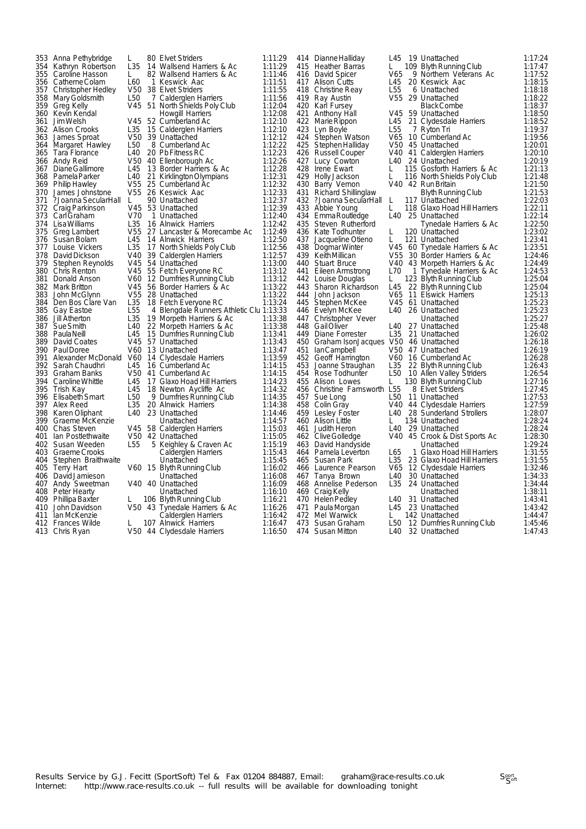|     | 353 Anna Pethybridge   | L               | 80 Elvet Striders                        | 1:11:29 |     | 414 Dianne Halliday                      | L45             | 19 Unattached                 | 1:17:24 |
|-----|------------------------|-----------------|------------------------------------------|---------|-----|------------------------------------------|-----------------|-------------------------------|---------|
|     |                        | L35             |                                          | 1:11:29 |     | 415 Heather Barras                       | L               |                               | 1:17:47 |
|     | 354 Kathryn Robertson  |                 | 14 Wallsend Harriers & Ac                |         |     |                                          |                 | 109 Blyth Running Club        |         |
|     | 355 Caroline Hasson    | L               | 82 Wallsend Harriers & Ac                | 1:11:46 |     | 416 David Spicer                         | V65             | 9 Northern Veterans Ac        | 1:17:52 |
|     | 356 Catherne Colam     | L60             | 1 Keswick Aac                            | 1:11:51 | 417 | <b>Alison Cutts</b>                      | L45             | 20 Keswick Aac                | 1:18:15 |
| 357 | Christopher Hedley     | V50             | 38 Elvet Striders                        | 1:11:55 | 418 | Christine Reay                           | L <sub>55</sub> | 6 Unattached                  | 1:18:18 |
|     | 358 Mary Goldsmith     | L <sub>50</sub> | 7 Calderglen Harriers                    | 1:11:56 | 419 | Ray Austin                               | V <sub>55</sub> | 29 Unattached                 | 1:18:22 |
|     | 359 Greg Kelly         | V45             | 51 North Shields Poly Club               | 1:12:04 | 420 | Karl Fursey                              |                 | <b>Black Combe</b>            | 1:18:37 |
|     | 360 Kevin Kendal       |                 | Howgill Harriers                         | 1:12:08 | 421 | Anthony Hall                             |                 | V45 59 Unattached             | 1:18:50 |
|     |                        |                 |                                          |         |     |                                          |                 |                               |         |
| 361 | Jim Welsh              |                 | V45 52 Cumberland Ac                     | 1:12:10 | 422 | Marie Rippon                             | L45             | 21 Clydesdale Harriers        | 1:18:52 |
|     | 362 Alison Crooks      | L35             | 15 Calderglen Harriers                   | 1:12:10 | 423 | Lyn Boyle                                | L <sub>55</sub> | 7 Ryton Tri                   | 1:19:37 |
| 363 | James Sproat           | V50             | 39 Unattached                            | 1:12:12 | 424 | Stephen Watson                           |                 | V65 10 Cumberland Ac          | 1:19:56 |
| 364 | Margaret Hawley        | L <sub>50</sub> | 8 Cumberland Ac                          | 1:12:22 | 425 | Stephen Halliday                         |                 | V50 45 Unattached             | 1:20:01 |
| 365 | Tara Florance          | L40             | 20 Pb Fitness RC                         | 1:12:23 | 426 | <b>Russell Couper</b>                    |                 | V40 41 Calderglen Harriers    | 1:20:10 |
|     | 366 Andy Reid          | V <sub>50</sub> | 40 Ellenborough Ac                       | 1:12:26 | 427 | Lucy Cowton                              |                 | L40 24 Unattached             | 1:20:19 |
| 367 | Diane Gallimore        | L45             | 13 Border Harriers & Ac                  | 1:12:28 | 428 | Irene Ewart                              | L               | 115 Gosforth Harriers & Ac    | 1:21:13 |
| 368 | Pamela Parker          | L40             | 21 Kirklington Olympians                 | 1:12:31 |     | 429 Holly Jackson                        | L               |                               | 1:21:48 |
|     |                        |                 |                                          |         |     |                                          |                 | 116 North Shields Poly Club   |         |
|     | 369 Philip Hawley      | V55             | 25 Cumberland Ac                         | 1:12:32 |     | 430 Barry Vernon                         |                 | V40 42 Run Britain            | 1:21:50 |
| 370 | James Johnstone        | V55             | 26 Keswick Aac                           | 1:12:33 | 431 | <b>Richard Shillinglaw</b>               |                 | Blyth Running Club            | 1:21:53 |
| 371 | ?Joanna SecularHall    | L               | 90 Unattached                            | 1:12:37 | 432 | ?Joanna SecularHall                      | L               | 117 Unattached                | 1:22:03 |
| 372 | Craig Parkinson        | V45             | 53 Unattached                            | 1:12:39 | 433 | Abbie Young                              | L               | 118 Glaxo Hoad Hill Harriers  | 1:22:11 |
| 373 | Carl Graham            | V70             | 1 Unattached                             | 1:12:40 | 434 | Emma Routledge                           |                 | L40 25 Unattached             | 1:22:14 |
| 374 | Lisa Williams          | L <sub>35</sub> | 16 Alnwick Harriers                      | 1:12:42 | 435 | Steven Rutherford                        |                 | Tynedale Harriers & Ac        | 1:22:50 |
|     | 375 Greg Lambert       |                 | V55 27 Lancaster & Morecambe Ac          | 1:12:49 |     | 436 Kate Todhunter                       | L               | 120 Unattached                | 1:23:02 |
| 376 | Susan Bolam            | L45             | 14 Alnwick Harriers                      | 1:12:50 | 437 |                                          | L               | 121 Unattached                | 1:23:41 |
|     |                        |                 |                                          |         |     | Jacqueline Otieno                        |                 |                               |         |
| 377 | Louise Vickers         | L35             | 17 North Shields Poly Club               | 1:12:56 |     | 438 Dogmar Winter                        |                 | V45 60 Tynedale Harriers & Ac | 1:23:51 |
| 378 | David Dickson          | V40             | 39 Calderglen Harriers                   | 1:12:57 |     | 439 KeithMillican                        | V <sub>55</sub> | 30 Border Harriers & Ac       | 1:24:46 |
| 379 | Stephen Reynolds       | V45             | 54 Unattached                            | 1:13:00 | 440 | <b>Stuart Bruce</b>                      |                 | V40 43 Morpeth Harriers & Ac  | 1:24:49 |
| 380 | Chris Renton           | V45             | 55 Fetch Everyone RC                     | 1:13:12 | 441 | Eileen Armstrong                         | L70             | 1 Tynedale Harriers & Ac      | 1:24:53 |
| 381 | Donald Anson           | V60             | 12 Dumfries Running Club                 | 1:13:12 |     | 442 Louise Douglas                       | L               | 123 Blyth Running Club        | 1:25:04 |
|     | 382 Mark Britton       | V45             | 56 Border Harriers & Ac                  | 1:13:22 | 443 | Sharon Richardson                        | L45             | 22 Blyth Running Club         | 1:25:04 |
| 383 | John McGlynn           | V55             | 28 Unattached                            | 1:13:22 | 444 | John Jackson                             | V65             | 11 Elswick Harriers           | 1:25:13 |
|     | 384 Den Bos Clare Van  | L35             | 18 Fetch Everyone RC                     | 1:13:24 | 445 | Stephen McKee                            |                 | V45 61 Unattached             | 1:25:23 |
|     |                        |                 |                                          |         |     |                                          |                 |                               |         |
|     | 385 Gay Eastoe         | L <sub>55</sub> | 4 Blengdale Runners Athletic Clu 1:13:33 |         | 446 | Evelyn McKee                             | L40             | 26 Unattached                 | 1:25:23 |
| 386 | Jill Atherton          | L <sub>35</sub> | 19 Morpeth Harriers & Ac                 | 1:13:38 |     | 447 Christopher Vever                    |                 | Unattached                    | 1:25:27 |
|     | 387 Sue Smith          | L <sub>40</sub> | 22 Morpeth Harriers & Ac                 | 1:13:38 |     | 448 Gail Oliver                          | L40             | 27 Unattached                 | 1:25:48 |
|     | 388 PaulaNeill         | L45             | 15 Dumfries Running Club                 | 1:13:41 |     | 449 Diane Forrester                      | L <sub>35</sub> | 21 Unattached                 | 1:26:02 |
| 389 | David Coates           | V45             | 57 Unattached                            | 1:13:43 |     | 450 Graham IsonJacques V50 46 Unattached |                 |                               | 1:26:18 |
|     | 390 Paul Doree         | V60             | 13 Unattached                            | 1:13:47 | 451 | lanCampbell                              |                 | V50 47 Unattached             | 1:26:19 |
| 391 | Alexander McDonald V60 |                 | 14 Clydesdale Harriers                   | 1:13:59 | 452 | Geoff Harrington                         |                 | V60 16 Cumberland Ac          | 1:26:28 |
| 392 | Sarah Chaudhri         | L45             | 16 Cumberland Ac                         | 1:14:15 | 453 |                                          | L <sub>35</sub> |                               | 1:26:43 |
|     | 393 Graham Banks       | V50             |                                          | 1:14:15 | 454 | Joanne Straughan                         | L <sub>50</sub> | 22 Blyth Running Club         |         |
|     |                        |                 | 41 Cumberland Ac                         |         |     | Rose Todhunter                           |                 | 10 Allen Valley Striders      | 1:26:54 |
| 394 | Caroline Whittle       | L45             | 17 Glaxo Hoad Hill Harriers              | 1:14:23 | 455 | Alison Lowes                             | L               | 130 Blyth Running Club        | 1:27:16 |
| 395 | Trish Kay              | L45             | 18 Newton Aycliffe Ac                    | 1:14:32 | 456 | Christine Farnsworth L55                 |                 | 8 Elvet Striders              | 1:27:45 |
|     | 396 Elisabeth Smart    | L <sub>50</sub> | 9 Dumfries Running Club                  | 1:14:35 | 457 | Sue Long                                 | L50             | 11 Unattached                 | 1:27:53 |
|     | 397 Alex Reed          | L35             | 20 Alnwick Harriers                      | 1:14:38 |     | 458 Colin Gray                           |                 | V40 44 Clydesdale Harriers    | 1:27:59 |
| 398 | Karen Oliphant         | L40             | 23 Unattached                            | 1:14:46 |     | 459 Lesley Foster                        | L40             | 28 Sunderland Strollers       | 1:28:07 |
|     | 399 Graeme McKenzie    |                 | Unattached                               | 1:14:57 |     | 460 Alison Little                        | L               | 134 Unattached                | 1:28:24 |
|     | 400 Chas Steven        |                 | V45 58 Calderglen Harriers               | 1:15:03 | 461 | Judith Heron                             |                 | L40 29 Unattached             | 1:28:24 |
| 401 | Ian Postlethwaite      |                 |                                          | 1:15:05 | 462 |                                          | V40             |                               | 1:28:30 |
|     |                        |                 | V50 42 Unattached                        |         |     | Clive Golledge                           |                 | 45 Crook & Dist Sports Ac     |         |
|     | 402 Susan Weeden       | L <sub>55</sub> | 5 Keighley & Craven Ac                   | 1:15:19 | 463 | David Handyside                          |                 | Unattached                    | 1:29:24 |
|     | 403 Graeme Crooks      |                 | Calderglen Harriers                      | 1:15:43 | 464 | Pamela Leverton                          | L65             | 1 Glaxo Hoad Hill Harriers    | 1:31:55 |
| 404 | Stephen Braithwaite    |                 | Unattached                               | 1:15:45 | 465 | <b>Susan Park</b>                        | L <sub>35</sub> | 23 Glaxo Hoad Hill Harriers   | 1:31:55 |
|     | 405 Terry Hart         |                 | V60 15 Blyth Running Club                | 1:16:02 | 466 | Laurence Pearson                         | V65             | 12 Clydesdale Harriers        | 1:32:46 |
|     | 406 David Jamieson     |                 | Unattached                               | 1:16:08 | 467 | Tanya Brown                              | L40             | 30 Unattached                 | 1:34:33 |
| 407 | Andy Sweetman          |                 | V40 40 Unattached                        | 1:16:09 |     | 468 Annelise Pederson                    | L <sub>35</sub> | 24 Unattached                 | 1:34:44 |
|     | 408 Peter Hearty       |                 | Unattached                               | 1:16:10 |     | 469 Craig Kelly                          |                 | Unattached                    | 1:38:11 |
|     | 409 Phillipa Baxter    | L               |                                          | 1:16:21 |     | 470 Helen Pedley                         | L40             | 31 Unattached                 | 1:43:41 |
|     |                        |                 | 106 Blyth Running Club                   |         |     |                                          |                 |                               |         |
|     | 410 John Davidson      |                 | V50 43 Tynedale Harriers & Ac            | 1:16:26 | 471 | Paula Morgan                             |                 | L45 23 Unattached             | 1:43:42 |
|     | 411 Ian McKenzie       |                 | Calderglen Harriers                      | 1:16:42 |     | 472 Mel Warwick                          | L.              | 142 Unattached                | 1:44:47 |
|     | 412 Frances Wilde      | L               | 107 Alnwick Harriers                     | 1:16:47 |     | 473 Susan Graham                         | L50             | 12 Dumfries Running Club      | 1:45:46 |
|     | 413 Chris Rvan         |                 | V50 44 Clydesdale Harriers               | 1:16:50 |     | 474 Susan Mitton                         | L40             | 32 Unattached                 | 1:47:43 |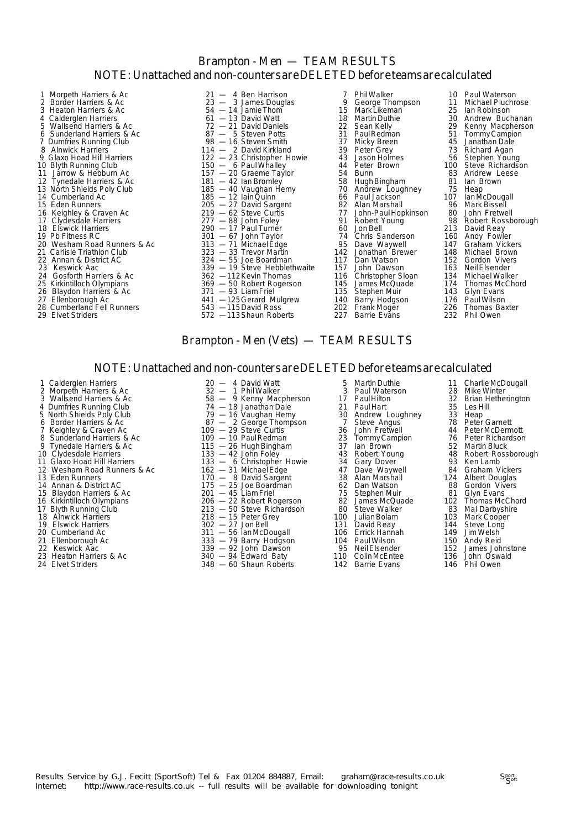## Brampton - Men — TEAM RESULTS NOTE: Unattached and non-counters are DELETED before teams are calculated

- 2 Border Harriers & Ac 23 3 James Douglas 9 George Thompson 11 Michael Pluchrose 3 Heaton Harriers & Ac 54 — 14 Jamie Thom 15 Mark Likeman 25 Ian Robinson 4 Calderglen Harriers 61 — 13 David Watt 18 Martin Duthie 30 Andrew Buchanan<br>
5 Wallsend Harriers & Ac 37 — 21 David Daniels 22 Sean Kelly 29 Kenny Macpherson<br>
6 Sunderland Harriers & Ac 37 — 5 Steven Potts 31 Paul Redman 5 Wallsend Harriers & Ac 72 — 21 David Daniels 22 Sean Kelly<br>
22 Sean Kelly 20 Steven Potts 21 Paul Redman<br>
21 Paul Redman 6 Sunderland Harriers & Ac  $87 - 5$  Steven Potts 31 Paul Redman 7 Dumfries Running Club<br>
8 Alnwick Harriers 114 - 2 David Kirkland 39 Peter Grey<br>
9 Glaxo Hoad Hill Harriers 122 - 23 Christopher Howie 31 Jason Holme 7 Dumfries Running Club 98 — 16 Steven Smith 37 Micky Breen 45 Janathan Dale 8 Alnwick Harriers 114 — 2 David Kirkland 139 Peter Grey 13 Richard Agan 9 Glaxo Harriers 2008 Minimus College and the Christopher Howing College and the Christopher Howing Class of Christopher Howing 122 - 23 Christopher Howie 43 Jason Holmes 56 Stephen Young<br>10 Blyth Running Club 150 - 6 Paul 11 Jarrow & Hebburn Ac 157 — 20 Graeme Taylor 54 Bunn 83 Andrew Leese 12 Tynedale Harriers & Ac 181 — 42 Ian Bromley 58 Hugh Bingham 81 Ian Brown 11 Jarrow & Hebburn Accessor Contract and the Contract of the Same Taylor and the Same Taylor and the Same Taylor and the Same Taylor and the Same Taylor and the Same Taylor and the Same Taylor and the Same Taylor and the 14 Cumberland Ac 185 — 185 — 12 Iain Quinn 66 Paul Jackson 107 Ian McDougall 15 Eden Runners 205 — 27 David Sargent 82 Alan Marshall 96 Mark Bissell 16 Keighley & Craven Ac 219 — 62 Steve Curtis 77 John-Paul Hopkinson 80 John Fretwell 17 Clydesdale Harriers 277 — 88 John Foley 91 Robert Young 98 Robert Rossborough 18 Elswick Harriers 290 — 17 Paul Turner 60 Jon Bell 213 David Reay 19 Nellington Clydesde Harriers<br>
19 Clydesdae Harriers<br>
19 Pb Fitness RC 301 — 67 John Taylor 74 Chris Sanderson 160 Andy Fowler<br>
19 Pb Fitness RC 313 — 71 Michael Edge 74 Chris Sanderson 160 Andy Fowler<br>
20 Wesham Road Ru 20 Wesham Road Runners & Ac 313 — 71 Michael Edge 95 Dave Waywell 147 Graham Vickers 21 Carlisle Triathlon Club 3.1.2 <br>21 Carlisle Triathlon Club 323 — 33 Trevor Martin 142 Jonathan Brewer 148 Michael Brown<br>22 Annan & District AC 324 — 55 Joe Boardman 117 Dan Watson 152 Gordon Vivers 22 Annan & District AC 324 — 55 Joe Boardman 117 Dan Watson 152 Gordon Viversity 117 Dan Watson 152 Gordon Viver<br>23 Keswick Aac 339 — 19 Steve Hebblethwaite 157 John Dawson 163 Neil Elsender 24 Gosforth Harriers & Ac 362 -112 Kevin Thomas 116 Christopher Sloan 134 Michael Walker 25 Kirkintilloch Olympians 369 — 50 Robert Rogerson 145 James McQuade 174 Thomas McChord
- 
- 
- 28 Cumberland Baxter<br>Ellenborough Ac<br>Cumberland Fell Runners
- 

1 Morpeth Harriers & Ac 21 — 4 Ben Harrison and 7 Phil Walker 10 Paul Waterson<br>
2 Border Harriers & Ac 23 — 3 James Douglas 9 George Thompson 11 Michael Pluchron<br>
3 Heaton Harriers & Ac 54 — 14 Jamie Thom 15 Mark Likeman 2  $150 - 6$  Paul Whalley  $157 - 20$  Graeme Taylor  $54$ <br> $181 - 42$  lan Bromley  $58$ 239 — 19 Steve Hebblethwaite 157 John Dawson 163<br>
2362 — 112 Kevin Thomas 116 Christopher Sloan 134<br>
2369 — 50 Robert Rogerson 145 James McQuade 174 26 Blaydon Harriers & Ac 371 — 93 Liam Friel<br>27 Ellenborough Ac 371 — 93 Liam Friel 135 Stephen Muir 143 Glyn Evans<br>28 Cumberland Fell Runners 543 —115 David Ross 202 Frank Moger 226 Thomas Ba: 27 Ellenborough Ac 111 125 Gerard Mulgrew 140 Barry Hodgson 176 Paul Wilson<br>28 Cumberland Fell Runners 543 -115 David Ross 202 Frank Moger 226 Thomas Baxter

- 29 Elvet Striders 572 —113Shaun Roberts 227 Barrie Evans 232 Phil Owen
	-
	-
	-
	-
	-
	-
	-
	-
	-
	-

#### Brampton - Men (Vets) — TEAM RESULTS

#### NOTE: Unattached and non-counters are DELETED before teams are calculated

1 Calderglen Harriers 20 — 4 David Watt 5 Martin Duthie 11 CharlieMcDougall 2 Morpeth Harriers & Ac 32 — 1 PhilWalker 3 Paul Waterson 28 Mike Winter

- 
- 
- 
- 
- 
- 
- 
- 
- 
- 
- 
- 
- 
- 
- 
- 
- 
- 
- 
- 
- 

4 Dumfries Running Club 74 — 18 Janathan Dale 21 Paul Hart 35 Les Hill Frame South States Areas and the state of the state of the state of the state of the state of the state of the state of the state of the state of the state of the state of the state of the state of the state of the state o 6 Border Harriers & Ac **87 — 2 George Thompson** and a Steve Angus and the Peter Garnett<br>
19 - 29 Steve Curtis and 36 John Fretwell and Peter McDermott<br>
18 Sunderland Harriers & Ac 109 - 10 Paul Redman 23 Tommy Campion 26 P 7 Keighley & Craven Ac 109 — 29 Steve Curtis 36 John Fretwell 44 Peter McDermott 16 Kirkintilloch Olympians 206 — 22 Robert Rogerson 82 James McQuade 102 Thomas McChord 17 Blyth Running Club 213 — 50 Steve Richardson 80 Steve Walker 83<br>
218 — 15 Peter Grey 100 Julian Bolam 103 18 Alminion Originals 2001 - 2002 - 22 Albert November 2002 - 2003 - 2002 - 2003 - 2003 - 2002 - 2002 - 2002 - 200<br>18 Alnwick Harriers 218 - 218 - 15 Peter Grey 2003 - 2003 - 2003 - 2003 - 2003 - 2003 - 2003 - 2003 - 2003 19 Elswick Harriers 302 — 27 Jon Bell 131 David Reay 144 Steve Long

- 20 Cumberland Ac 311 56 IanMcDougall 106 Errick Hannah 149 Jim Welsh
	-
	-
	-
- 
- 
- 
- 
- 
- 
- 
- 
- -

23 Heaton Harriers & Ac 340 — 94 Edward Baty 110 ColinMcEntee 136 John Oswald 24 Elvet Striders 348 — 60 Shaun Roberts 142 Barrie Evans 146 Phil Owen

3 Wallsend Harriers & Ac 58 — 9 Kenny Macpherson 17 PaulHilton 32 Brian Hetherington

- 
- 
- 21 Ellenborough Ac 333 79 Barry Hodgson 104 PaulWilson 150 Andy Reid
- 22 Keswick Aac 339 92 John Dawson 95 Neil Elsender 152 James Johnstone
	-
	-

8 Sunderland Harriers & Ac 109 — 10 PaulRedman 23 TommyCampion 76 Peter Richardson 9 Tynedale Harriers & Ac 115 — 26 Hugh Bingham 37 Ian Brown 52 Martin Bluck 10 Clydesdale Harriers 133 — 42 John Foley 43 Robert Young 48 Robert Rossborough 11 Glaxo Hoad Hill Harriers 133 — 6 Christopher Howie 34 Gary Dover 93 Ken Lamb 12 University of Clydesdale Harriers and Clydesdale Harriers and the state of the state of the state of the state of the state of the state of the state of the state of the state of the state of the state of the state of t 13 Eden Runners 170 — 8 David Sargent 38 Alan Marshall 124 Albert Douglas 14 Annan & District AC 175 — 25 Joe Boardman 62 Dan Watson 88 Gordon Vivers 14 Annan & District AC **175** - 25 Joe Boardman<br>15 Blaydon Harriers & Ac 201 - 45 Liam Friel 75 Stephen Muir 81 Glyn Evans<br>16 Kirkintilloch Olympians 206 - 22 Robert Rogerson 82 James McQuade 102 Thomas McChord

- -
	-
	-
	-
	-
	-
	-
	-
	-
	-